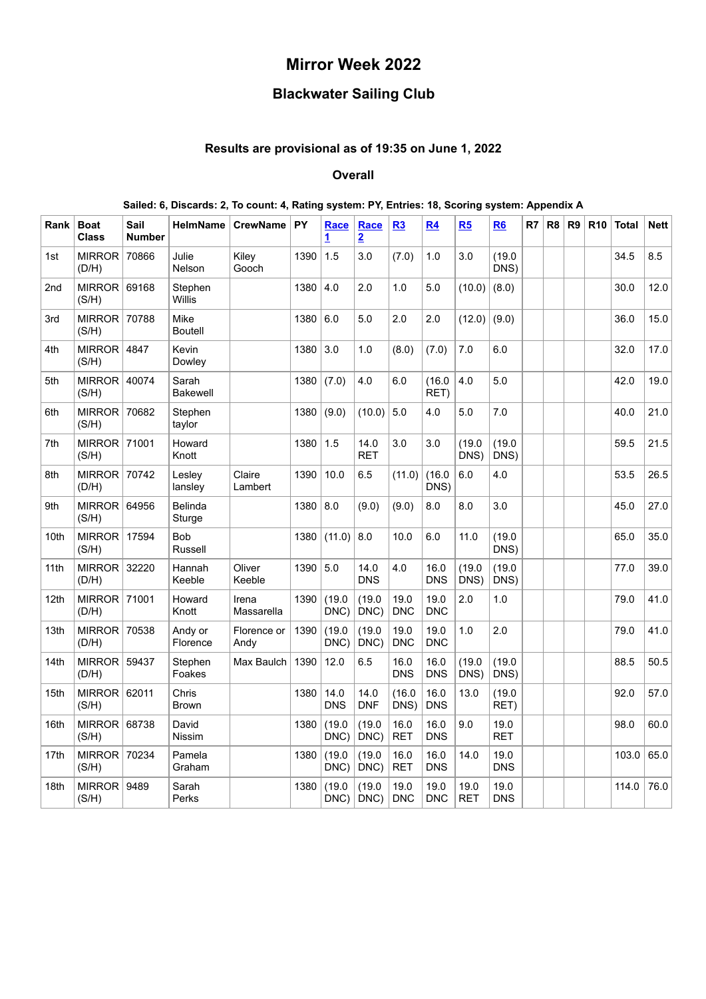# **Mirror Week 2022**

# **Blackwater Sailing Club**

### **Results are provisional as of 19:35 on June 1, 2022**

### **Overall**

#### **Sailed: 6, Discards: 2, To count: 4, Rating system: PY, Entries: 18, Scoring system: Appendix A Rank Boat Class Sail Number HelmName** CrewName PY [Race](#page-1-0) **1 [Race](#page-2-0) 2 [R3](#page-3-0) [R4](#page-4-0) [R5](#page-5-0) [R6](#page-6-0) R7 R8 R9 R10 Total Nett** 1st  $MIRROR$ (D/H) 70866 Julie Nelson Kiley Gooch 1390 1.5 3.0 (7.0) 1.0 3.0 (19.0 DNS)  $34.5$  8.5 2nd  $\vert$  MIRROR 69168 (S/H) Stephen **Willis**  $1380 | 4.0 | 2.0 | 1.0 | 5.0 | (10.0) | (8.0) | 1 1 30.0 | 12.0$ 3rd | MIRROR | 70788 | Mike (S/H) Boutell  $1380 \big| 6.0 \big| 5.0 \big| 2.0 \big| 2.0 \big| (12.0) \big| (9.0) \big| 1 \big| 1 \big| 36.0 \big| 15.0$ 4th  $\vert$  MIRROR 4847 (S/H) **Kevin** Dowley  $1380 \mid 3.0$   $\mid$   $1.0$   $\mid$   $(8.0) \mid$   $(7.0) \mid$   $7.0$   $\mid$  6.0  $\mid$   $\mid$   $\mid$   $\mid$   $\mid$   $\mid$  32.0  $\mid$  17.0 5th | MIRROR  $|40074$ (S/H) Sarah Bakewell  $1380 | (7.0) | 4.0 | 6.0 | (16.0)$ RET) 4.0 | 5.0 | | | | | | | | | 42.0 | 19.0 6th | MIRROR | 70682 (S/H) Stephen taylor  $1380 (9.0) (10.0) 5.0 4.0 5.0 7.0 | 1 40.0 21.0$  $7th$  MIRROR 71001 (S/H) Howard Knott 1380 1.5 14.0 RET  $3.0$   $\mid$  3.0  $\mid$  (19.0 DNS) (19.0 DNS)  $59.5$  21.5 8th  $\vert$  MIRROR 70742 (D/H) Lesley lansley Claire Lambert  $1390 | 10.0 | 6.5 | (11.0) | (16.0)$ DNS) 6.0 4.0 | | | | 53.5 26.5 9th  $\vert$  MIRROR 64956 (S/H) Belinda **Sturge** 1380 8.0 (9.0) (9.0) 8.0 8.0 3.0 | | | 45.0 27.0 10th | MIRROR | 17594 | Bob (S/H) Russell 1380 (11.0) 8.0 10.0 6.0 11.0 (19.0 DNS)  $65.0$  35.0 11th  $\vert$  MIRROR 32220  $(D/H)$ 32220 Hannah Keeble Oliver Keeble  $1390 \mid 5.0 \mid 14.0$ DNS 4.0 16.0 DNS (19.0 DNS) (19.0  $DNS$  $77.0$  39.0 12th | MIRROR | 71001 (D/H) Howard Knott Irena Massarella 1390 (19.0 DNC) (19.0 DNC) 19.0 DNC 19.0 DNC 2.0 1.0 79.0 41.0 13th  $\vert$  MIRROR 70538 (D/H) Andy or **Florence** Florence or Andy 1390 (19.0 DNC) (19.0 DNC) 19.0 DNC 19.0 DNC 1.0 2.0 79.0 41.0 14th  $\vert$  MIRROR 59437 (D/H) Stephen Foakes Max Baulch | 1390 | 12.0 | 6.5 | 16.0 DNS 16.0 DNS (19.0 DNS) (19.0 DNS)  $88.5$  50.5 15th | MIRROR 62011 | Chris (S/H) Brown 1380 14.0 DNS 14.0 DNF (16.0 DNS) 16.0 DNS 13.0 (19.0 RET)  $92.0$  57.0 16th | MIRROR | 68738 | David  $(S/H)$ Nissim  $1380$   $(19.0$ DNC) (19.0 DNC) 16.0 RET 16.0 DNS  $9.0 \pm 19.0$ RET 98.0  $60.0$ 17th | MIRROR | 70234 | Pamela (S/H) Graham 1380 (19.0 DNC) (19.0 DNC) 16.0 RET 16.0 DNS 14.0 19.0 DNS  $103.0 | 65.0$

1380 (19.0 DNC)

(19.0 DNC)

19.0 DNC 19.0 DNC 19.0 RET 19.0 DNS  $114.0$  76.0

18th  $\vert$  MIRROR 9489 (S/H)

Sarah Perks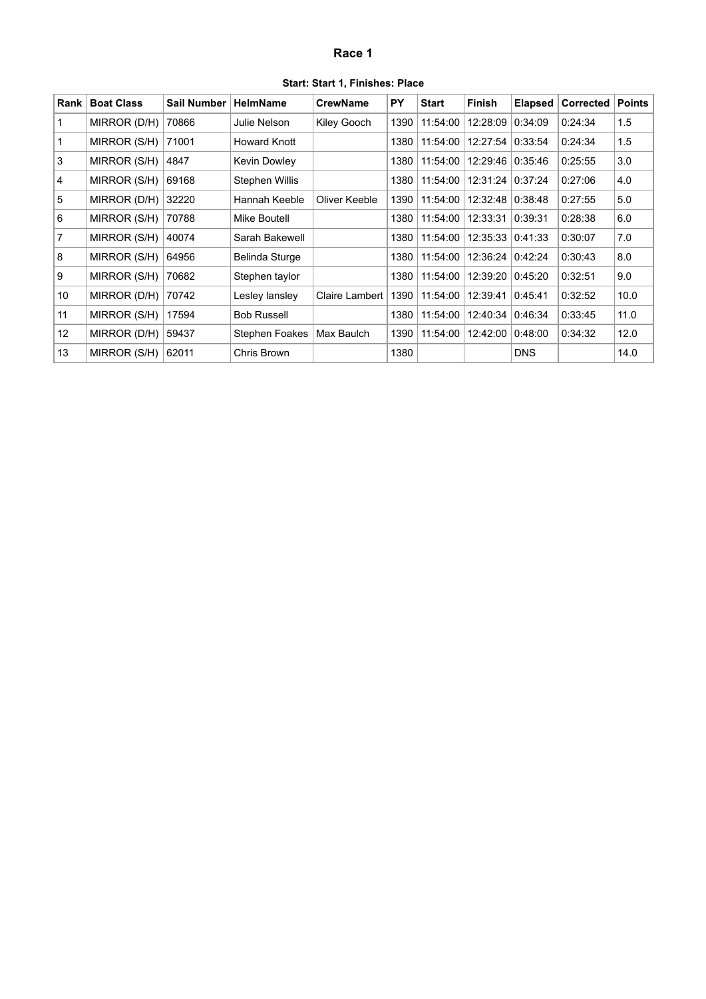# **Race 1**

| Start: Start 1, Finishes: Place |  |  |  |  |  |
|---------------------------------|--|--|--|--|--|
|---------------------------------|--|--|--|--|--|

<span id="page-1-0"></span>

| Rank              | <b>Boat Class</b> | Sail Number | <b>HelmName</b>       | <b>CrewName</b> | <b>PY</b> | <b>Start</b> | Finish   | <b>Elapsed</b> | <b>Corrected</b> | <b>Points</b> |
|-------------------|-------------------|-------------|-----------------------|-----------------|-----------|--------------|----------|----------------|------------------|---------------|
| 1                 | MIRROR (D/H)      | 70866       | Julie Nelson          | Kiley Gooch     | 1390      | 11:54:00     | 12:28:09 | 0:34:09        | 0:24:34          | 1.5           |
| 1                 | MIRROR (S/H)      | 71001       | <b>Howard Knott</b>   |                 | 1380      | 11:54:00     | 12:27:54 | 0:33:54        | 0:24:34          | 1.5           |
| 3                 | MIRROR (S/H)      | 4847        | Kevin Dowley          |                 | 1380      | 11:54:00     | 12:29:46 | 0:35:46        | 0:25:55          | 3.0           |
| $\overline{4}$    | MIRROR (S/H)      | 69168       | <b>Stephen Willis</b> |                 | 1380      | 11:54:00     | 12:31:24 | 0:37:24        | 0:27:06          | 4.0           |
| 5                 | MIRROR (D/H)      | 32220       | Hannah Keeble         | Oliver Keeble   | 1390      | 11:54:00     | 12:32:48 | 0:38:48        | 0:27:55          | 5.0           |
| 6                 | MIRROR (S/H)      | 70788       | Mike Boutell          |                 | 1380      | 11:54:00     | 12:33:31 | 0:39:31        | 0:28:38          | 6.0           |
| $\overline{7}$    | MIRROR (S/H)      | 40074       | Sarah Bakewell        |                 | 1380      | 11:54:00     | 12:35:33 | 0:41:33        | 0:30:07          | 7.0           |
| 8                 | MIRROR (S/H)      | 64956       | Belinda Sturge        |                 | 1380      | 11:54:00     | 12:36:24 | 0:42:24        | 0:30:43          | 8.0           |
| 9                 | MIRROR (S/H)      | 70682       | Stephen taylor        |                 | 1380      | 11:54:00     | 12:39:20 | 0:45:20        | 0:32:51          | 9.0           |
| 10                | MIRROR (D/H)      | 70742       | Lesley lansley        | Claire Lambert  | 1390      | 11:54:00     | 12:39:41 | 0:45:41        | 0:32:52          | 10.0          |
| 11                | MIRROR (S/H)      | 17594       | <b>Bob Russell</b>    |                 | 1380      | 11:54:00     | 12:40:34 | 0:46:34        | 0:33:45          | 11.0          |
| $12 \overline{ }$ | MIRROR (D/H)      | 59437       | <b>Stephen Foakes</b> | Max Baulch      | 1390      | 11:54:00     | 12:42:00 | 0:48:00        | 0:34:32          | 12.0          |
| 13                | MIRROR (S/H)      | 62011       | Chris Brown           |                 | 1380      |              |          | <b>DNS</b>     |                  | 14.0          |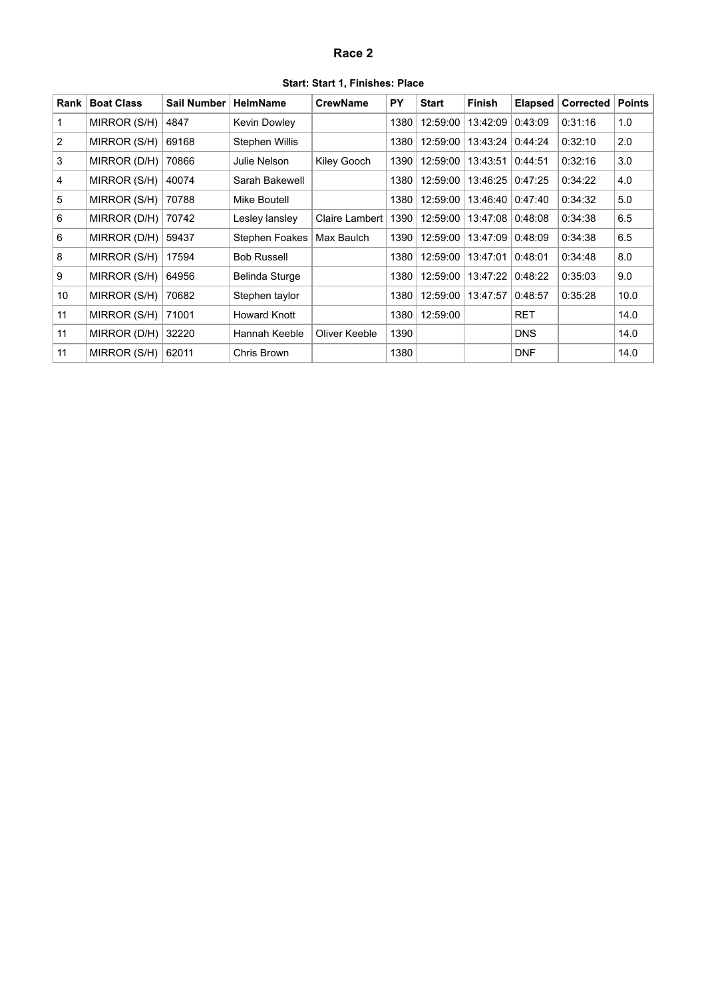# **Race 2**

| Start: Start 1, Finishes: Place |  |  |  |
|---------------------------------|--|--|--|
|---------------------------------|--|--|--|

<span id="page-2-0"></span>

| Rank           | <b>Boat Class</b> | <b>Sail Number</b> | <b>HelmName</b>       | <b>CrewName</b> | <b>PY</b> | <b>Start</b> | <b>Finish</b> | <b>Elapsed</b> | <b>Corrected</b> | <b>Points</b> |
|----------------|-------------------|--------------------|-----------------------|-----------------|-----------|--------------|---------------|----------------|------------------|---------------|
|                | MIRROR (S/H)      | 4847               | Kevin Dowley          |                 | 1380      | 12:59:00     | 13:42:09      | 0:43:09        | 0:31:16          | 1.0           |
| 2              | MIRROR (S/H)      | 69168              | Stephen Willis        |                 | 1380      | 12:59:00     | 13:43:24      | 0:44:24        | 0:32:10          | 2.0           |
| 3              | MIRROR (D/H)      | 70866              | Julie Nelson          | Kiley Gooch     | 1390      | 12:59:00     | 13:43:51      | 0:44:51        | 0:32:16          | 3.0           |
| $\overline{4}$ | MIRROR (S/H)      | 40074              | Sarah Bakewell        |                 | 1380      | 12:59:00     | 13:46:25      | 0:47:25        | 0:34:22          | 4.0           |
| 5              | MIRROR (S/H)      | 70788              | Mike Boutell          |                 | 1380      | 12:59:00     | 13:46:40      | 0:47:40        | 0:34:32          | 5.0           |
| 6              | MIRROR (D/H)      | 70742              | Lesley lansley        | Claire Lambert  | 1390      | 12:59:00     | 13:47:08      | 0:48:08        | 0:34:38          | 6.5           |
| 6              | MIRROR (D/H)      | 59437              | <b>Stephen Foakes</b> | Max Baulch      | 1390      | 12:59:00     | 13:47:09      | 0:48:09        | 0:34:38          | 6.5           |
| 8              | MIRROR (S/H)      | 17594              | <b>Bob Russell</b>    |                 | 1380      | 12:59:00     | 13:47:01      | 0:48:01        | 0:34:48          | 8.0           |
| 9              | MIRROR (S/H)      | 64956              | Belinda Sturge        |                 | 1380      | 12:59:00     | 13:47:22      | 0:48:22        | 0:35:03          | 9.0           |
| 10             | MIRROR (S/H)      | 70682              | Stephen taylor        |                 | 1380      | 12:59:00     | 13:47:57      | 0:48:57        | 0:35:28          | 10.0          |
| 11             | MIRROR (S/H)      | 71001              | Howard Knott          |                 | 1380      | 12:59:00     |               | <b>RET</b>     |                  | 14.0          |
| 11             | MIRROR (D/H)      | 32220              | Hannah Keeble         | Oliver Keeble   | 1390      |              |               | <b>DNS</b>     |                  | 14.0          |
| 11             | MIRROR (S/H)      | 62011              | Chris Brown           |                 | 1380      |              |               | <b>DNF</b>     |                  | 14.0          |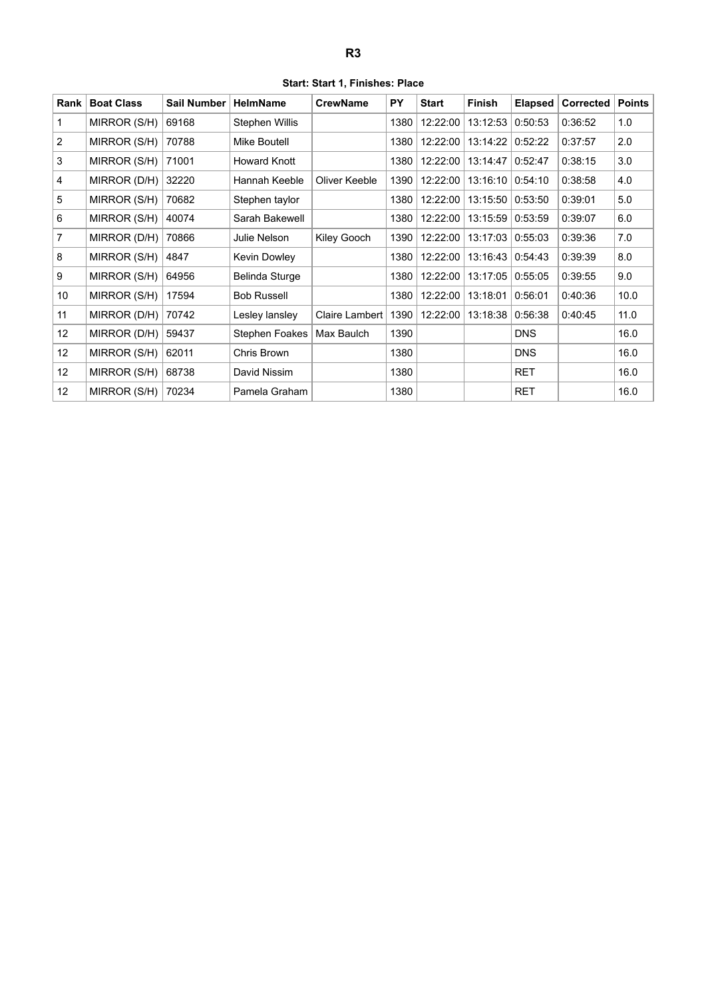| Start: Start 1, Finishes: Place |  |  |  |
|---------------------------------|--|--|--|
|---------------------------------|--|--|--|

<span id="page-3-0"></span>

| Rank              | <b>Boat Class</b> | <b>Sail Number</b> | <b>HelmName</b>       | <b>CrewName</b> | <b>PY</b> | <b>Start</b> | Finish   | <b>Elapsed</b> | Corrected | <b>Points</b> |
|-------------------|-------------------|--------------------|-----------------------|-----------------|-----------|--------------|----------|----------------|-----------|---------------|
|                   | MIRROR (S/H)      | 69168              | Stephen Willis        |                 | 1380      | 12:22:00     | 13:12:53 | 0:50:53        | 0:36:52   | 1.0           |
| $\overline{2}$    | MIRROR (S/H)      | 70788              | Mike Boutell          |                 | 1380      | 12:22:00     | 13:14:22 | 0:52:22        | 0:37:57   | 2.0           |
| 3                 | MIRROR (S/H)      | 71001              | <b>Howard Knott</b>   |                 | 1380      | 12:22:00     | 13:14:47 | 0:52:47        | 0:38:15   | 3.0           |
| 4                 | MIRROR (D/H)      | 32220              | Hannah Keeble         | Oliver Keeble   | 1390      | 12:22:00     | 13:16:10 | 0:54:10        | 0:38:58   | 4.0           |
| 5                 | MIRROR (S/H)      | 70682              | Stephen taylor        |                 | 1380      | 12:22:00     | 13:15:50 | 0:53:50        | 0:39:01   | 5.0           |
| 6                 | MIRROR (S/H)      | 40074              | Sarah Bakewell        |                 | 1380      | 12:22:00     | 13:15:59 | 0:53:59        | 0:39:07   | 6.0           |
| $\overline{7}$    | MIRROR (D/H)      | 70866              | Julie Nelson          | Kiley Gooch     | 1390      | 12:22:00     | 13:17:03 | 0:55:03        | 0:39:36   | 7.0           |
| 8                 | MIRROR (S/H)      | 4847               | Kevin Dowley          |                 | 1380      | 12:22:00     | 13:16:43 | 0:54:43        | 0:39:39   | 8.0           |
| 9                 | MIRROR (S/H)      | 64956              | Belinda Sturge        |                 | 1380      | 12:22:00     | 13:17:05 | 0:55:05        | 0:39:55   | 9.0           |
| 10                | MIRROR (S/H)      | 17594              | <b>Bob Russell</b>    |                 | 1380      | 12:22:00     | 13:18:01 | 0:56:01        | 0:40:36   | 10.0          |
| 11                | MIRROR (D/H)      | 70742              | Lesley lansley        | Claire Lambert  | 1390      | 12:22:00     | 13:18:38 | 0:56:38        | 0:40:45   | 11.0          |
| $12 \overline{ }$ | MIRROR (D/H)      | 59437              | <b>Stephen Foakes</b> | Max Baulch      | 1390      |              |          | <b>DNS</b>     |           | 16.0          |
| 12                | MIRROR (S/H)      | 62011              | Chris Brown           |                 | 1380      |              |          | <b>DNS</b>     |           | 16.0          |
| 12                | MIRROR (S/H)      | 68738              | David Nissim          |                 | 1380      |              |          | <b>RET</b>     |           | 16.0          |
| 12                | MIRROR (S/H)      | 70234              | Pamela Graham         |                 | 1380      |              |          | <b>RET</b>     |           | 16.0          |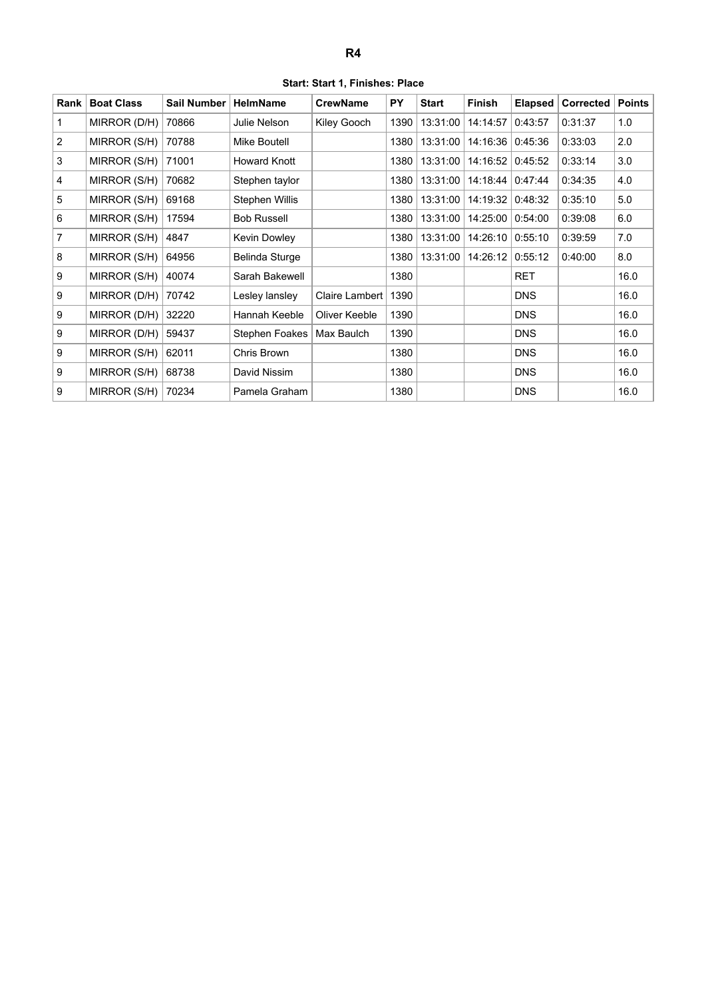**Start: Start 1, Finishes: Place**

<span id="page-4-0"></span>

| Rank           | <b>Boat Class</b> | Sail Number | <b>HelmName</b>     | <b>CrewName</b> | <b>PY</b> | <b>Start</b> | <b>Finish</b> | <b>Elapsed</b> | Corrected | <b>Points</b> |
|----------------|-------------------|-------------|---------------------|-----------------|-----------|--------------|---------------|----------------|-----------|---------------|
| 1              | MIRROR (D/H)      | 70866       | Julie Nelson        | Kiley Gooch     | 1390      | 13:31:00     | 14:14:57      | 0:43:57        | 0:31:37   | 1.0           |
| 2              | MIRROR (S/H)      | 70788       | Mike Boutell        |                 | 1380      | 13:31:00     | 14:16:36      | 0:45:36        | 0:33:03   | 2.0           |
| 3              | MIRROR (S/H)      | 71001       | <b>Howard Knott</b> |                 | 1380      | 13:31:00     | 14:16:52      | 0:45:52        | 0:33:14   | 3.0           |
| 4              | MIRROR (S/H)      | 70682       | Stephen taylor      |                 | 1380      | 13:31:00     | 14:18:44      | 0:47:44        | 0:34:35   | 4.0           |
| 5              | MIRROR (S/H)      | 69168       | Stephen Willis      |                 | 1380      | 13:31:00     | 14:19:32      | 0:48:32        | 0:35:10   | 5.0           |
| 6              | MIRROR (S/H)      | 17594       | <b>Bob Russell</b>  |                 | 1380      | 13:31:00     | 14:25:00      | 0:54:00        | 0:39:08   | 6.0           |
| $\overline{7}$ | MIRROR (S/H)      | 4847        | Kevin Dowley        |                 | 1380      | 13:31:00     | 14:26:10      | 0:55:10        | 0:39:59   | 7.0           |
| 8              | MIRROR (S/H)      | 64956       | Belinda Sturge      |                 | 1380      | 13:31:00     | 14:26:12      | 0:55:12        | 0:40:00   | 8.0           |
| 9              | MIRROR (S/H)      | 40074       | Sarah Bakewell      |                 | 1380      |              |               | <b>RET</b>     |           | 16.0          |
| 9              | MIRROR (D/H)      | 70742       | Lesley lansley      | Claire Lambert  | 1390      |              |               | <b>DNS</b>     |           | 16.0          |
| 9              | MIRROR (D/H)      | 32220       | Hannah Keeble       | Oliver Keeble   | 1390      |              |               | <b>DNS</b>     |           | 16.0          |
| 9              | MIRROR (D/H)      | 59437       | Stephen Foakes      | Max Baulch      | 1390      |              |               | <b>DNS</b>     |           | 16.0          |
| 9              | MIRROR (S/H)      | 62011       | Chris Brown         |                 | 1380      |              |               | <b>DNS</b>     |           | 16.0          |
| 9              | MIRROR (S/H)      | 68738       | David Nissim        |                 | 1380      |              |               | <b>DNS</b>     |           | 16.0          |
| 9              | MIRROR (S/H)      | 70234       | Pamela Graham       |                 | 1380      |              |               | <b>DNS</b>     |           | 16.0          |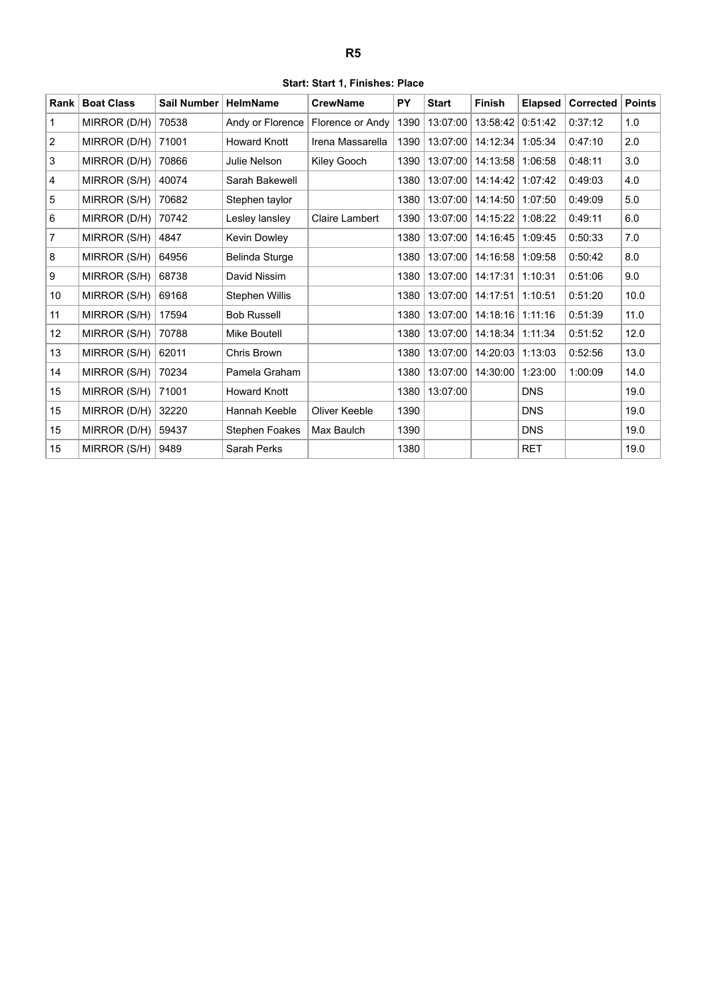<span id="page-5-0"></span>

| Rank           | <b>Boat Class</b> | <b>Sail Number</b> | <b>HelmName</b>       | <b>CrewName</b>  | <b>PY</b> | <b>Start</b> | <b>Finish</b> | <b>Elapsed</b> | Corrected | <b>Points</b> |
|----------------|-------------------|--------------------|-----------------------|------------------|-----------|--------------|---------------|----------------|-----------|---------------|
|                |                   |                    |                       |                  |           |              |               |                |           |               |
| $\mathbf{1}$   | MIRROR (D/H)      | 70538              | Andy or Florence      | Florence or Andy | 1390      | 13:07:00     | 13:58:42      | 0:51:42        | 0:37:12   | 1.0           |
| $\overline{2}$ | MIRROR (D/H)      | 71001              | <b>Howard Knott</b>   | Irena Massarella | 1390      | 13:07:00     | 14:12:34      | 1:05:34        | 0:47:10   | 2.0           |
| 3              | MIRROR (D/H)      | 70866              | <b>Julie Nelson</b>   | Kiley Gooch      | 1390      | 13:07:00     | 14:13:58      | 1:06:58        | 0:48:11   | 3.0           |
| $\overline{4}$ | MIRROR (S/H)      | 40074              | Sarah Bakewell        |                  | 1380      | 13:07:00     | 14:14:42      | 1:07:42        | 0:49:03   | 4.0           |
| $\sqrt{5}$     | MIRROR (S/H)      | 70682              | Stephen taylor        |                  | 1380      | 13:07:00     | 14:14:50      | 1:07:50        | 0:49:09   | 5.0           |
| 6              | MIRROR (D/H)      | 70742              | Lesley lansley        | Claire Lambert   | 1390      | 13:07:00     | 14:15:22      | 1:08:22        | 0:49:11   | 6.0           |
| $\overline{7}$ | MIRROR (S/H)      | 4847               | Kevin Dowley          |                  | 1380      | 13:07:00     | 14:16:45      | 1:09:45        | 0:50:33   | 7.0           |
| 8              | MIRROR (S/H)      | 64956              | Belinda Sturge        |                  | 1380      | 13:07:00     | 14:16:58      | 1:09:58        | 0:50:42   | 8.0           |
| 9              | MIRROR (S/H)      | 68738              | David Nissim          |                  | 1380      | 13:07:00     | 14:17:31      | 1:10:31        | 0:51:06   | 9.0           |
| 10             | MIRROR (S/H)      | 69168              | Stephen Willis        |                  | 1380      | 13:07:00     | 14:17:51      | 1:10:51        | 0:51:20   | 10.0          |
| 11             | MIRROR (S/H)      | 17594              | <b>Bob Russell</b>    |                  | 1380      | 13:07:00     | 14:18:16      | 1:11:16        | 0:51:39   | 11.0          |
| 12             | MIRROR (S/H)      | 70788              | <b>Mike Boutell</b>   |                  | 1380      | 13:07:00     | 14:18:34      | 1:11:34        | 0:51:52   | 12.0          |
| 13             | MIRROR (S/H)      | 62011              | Chris Brown           |                  | 1380      | 13:07:00     | 14:20:03      | 1:13:03        | 0:52:56   | 13.0          |
| 14             | MIRROR (S/H)      | 70234              | Pamela Graham         |                  | 1380      | 13:07:00     | 14:30:00      | 1:23:00        | 1:00:09   | 14.0          |
| 15             | MIRROR (S/H)      | 71001              | <b>Howard Knott</b>   |                  | 1380      | 13:07:00     |               | <b>DNS</b>     |           | 19.0          |
| 15             | MIRROR (D/H)      | 32220              | Hannah Keeble         | Oliver Keeble    | 1390      |              |               | <b>DNS</b>     |           | 19.0          |
| 15             | MIRROR (D/H)      | 59437              | <b>Stephen Foakes</b> | Max Baulch       | 1390      |              |               | <b>DNS</b>     |           | 19.0          |
| 15             | MIRROR (S/H)      | 9489               | <b>Sarah Perks</b>    |                  | 1380      |              |               | <b>RET</b>     |           | 19.0          |

**Start: Start 1, Finishes: Place**